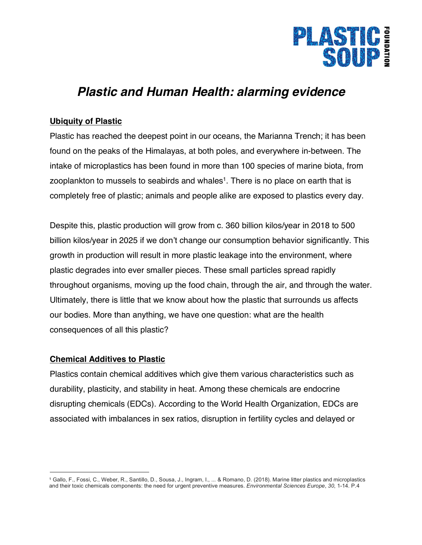

# *Plastic and Human Health: alarming evidence*

## **Ubiquity of Plastic**

Plastic has reached the deepest point in our oceans, the Marianna Trench; it has been found on the peaks of the Himalayas, at both poles, and everywhere in-between. The intake of microplastics has been found in more than 100 species of marine biota, from zooplankton to mussels to seabirds and whales<sup>1</sup>. There is no place on earth that is completely free of plastic; animals and people alike are exposed to plastics every day.

Despite this, plastic production will grow from c. 360 billion kilos/year in 2018 to 500 billion kilos/year in 2025 if we don't change our consumption behavior significantly. This growth in production will result in more plastic leakage into the environment, where plastic degrades into ever smaller pieces. These small particles spread rapidly throughout organisms, moving up the food chain, through the air, and through the water. Ultimately, there is little that we know about how the plastic that surrounds us affects our bodies. More than anything, we have one question: what are the health consequences of all this plastic?

## **Chemical Additives to Plastic**

 $\overline{a}$ 

Plastics contain chemical additives which give them various characteristics such as durability, plasticity, and stability in heat. Among these chemicals are endocrine disrupting chemicals (EDCs). According to the World Health Organization, EDCs are associated with imbalances in sex ratios, disruption in fertility cycles and delayed or

<sup>1</sup> Gallo, F., Fossi, C., Weber, R., Santillo, D., Sousa, J., Ingram, I., ... & Romano, D. (2018). Marine litter plastics and microplastics and their toxic chemicals components: the need for urgent preventive measures. *Environmental Sciences Europe*, *30*, 1-14. P.4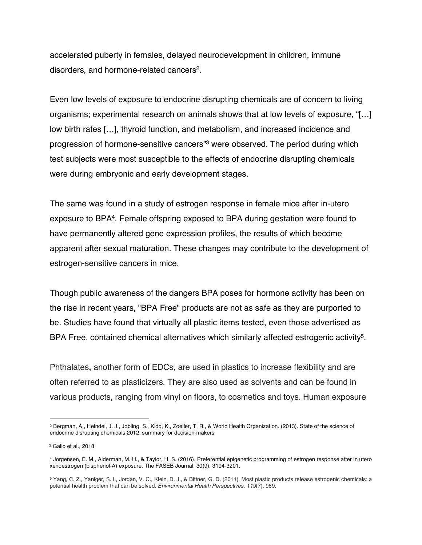accelerated puberty in females, delayed neurodevelopment in children, immune disorders, and hormone-related cancers2.

Even low levels of exposure to endocrine disrupting chemicals are of concern to living organisms; experimental research on animals shows that at low levels of exposure, "[…] low birth rates […], thyroid function, and metabolism, and increased incidence and progression of hormone-sensitive cancers"3 were observed. The period during which test subjects were most susceptible to the effects of endocrine disrupting chemicals were during embryonic and early development stages.

The same was found in a study of estrogen response in female mice after in-utero exposure to BPA4. Female offspring exposed to BPA during gestation were found to have permanently altered gene expression profiles, the results of which become apparent after sexual maturation. These changes may contribute to the development of estrogen-sensitive cancers in mice.

Though public awareness of the dangers BPA poses for hormone activity has been on the rise in recent years, "BPA Free" products are not as safe as they are purported to be. Studies have found that virtually all plastic items tested, even those advertised as BPA Free, contained chemical alternatives which similarly affected estrogenic activity<sup>5</sup>.

Phthalates**,** another form of EDCs, are used in plastics to increase flexibility and are often referred to as plasticizers. They are also used as solvents and can be found in various products, ranging from vinyl on floors, to cosmetics and toys. Human exposure

 $\overline{a}$ 

<sup>2</sup> Bergman, Å., Heindel, J. J., Jobling, S., Kidd, K., Zoeller, T. R., & World Health Organization. (2013). State of the science of endocrine disrupting chemicals 2012: summary for decision-makers

<sup>3</sup> Gallo et al., 2018

<sup>4</sup> Jorgensen, E. M., Alderman, M. H., & Taylor, H. S. (2016). Preferential epigenetic programming of estrogen response after in utero xenoestrogen (bisphenol-A) exposure. The FASEB Journal, 30(9), 3194-3201.

<sup>5</sup> Yang, C. Z., Yaniger, S. I., Jordan, V. C., Klein, D. J., & Bittner, G. D. (2011). Most plastic products release estrogenic chemicals: a potential health problem that can be solved. *Environmental Health Perspectives*, *119*(7), 989.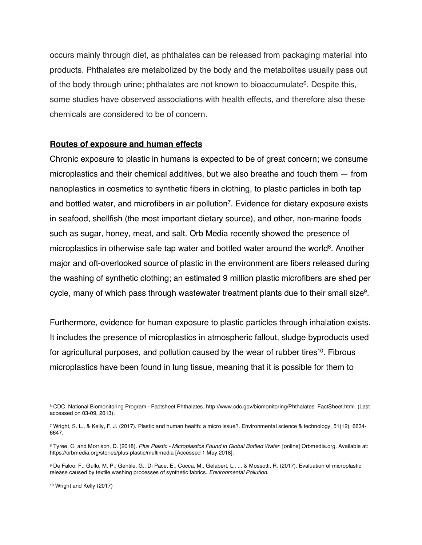occurs mainly through diet, as phthalates can be released from packaging material into products. Phthalates are metabolized by the body and the metabolites usually pass out of the body through urine; phthalates are not known to bioaccumulate<sup>6</sup>. Despite this, some studies have observed associations with health effects, and therefore also these chemicals are considered to be of concern.

#### **Routes of exposure and human effects**

Chronic exposure to plastic in humans is expected to be of great concern; we consume microplastics and their chemical additives, but we also breathe and touch them — from nanoplastics in cosmetics to synthetic fibers in clothing, to plastic particles in both tap and bottled water, and microfibers in air pollution<sup>7</sup>. Evidence for dietary exposure exists in seafood, shellfish (the most important dietary source), and other, non-marine foods such as sugar, honey, meat, and salt. Orb Media recently showed the presence of microplastics in otherwise safe tap water and bottled water around the world<sup>8</sup>. Another major and oft-overlooked source of plastic in the environment are fibers released during the washing of synthetic clothing; an estimated 9 million plastic microfibers are shed per cycle, many of which pass through wastewater treatment plants due to their small size9.

Furthermore, evidence for human exposure to plastic particles through inhalation exists. It includes the presence of microplastics in atmospheric fallout, sludge byproducts used for agricultural purposes, and pollution caused by the wear of rubber tires<sup>10</sup>. Fibrous microplastics have been found in lung tissue, meaning that it is possible for them to

<u>.</u>

<sup>6</sup> CDC. National Biomonitoring Program - Factsheet Phthalates. http://www.cdc.gov/biomonitoring/Phthalates\_FactSheet.html. (Last accessed on 03-09, 2013).

<sup>7</sup> Wright, S. L., & Kelly, F. J. (2017). Plastic and human health: a micro issue?. Environmental science & technology, 51(12), 6634- 6647.

<sup>8</sup> Tyree, C. and Morrison, D. (2018). *Plus Plastic - Microplastics Found in Global Bottled Water*. [online] Orbmedia.org. Available at: https://orbmedia.org/stories/plus-plastic/multimedia [Accessed 1 May 2018].

<sup>9</sup> De Falco, F., Gullo, M. P., Gentile, G., Di Pace, E., Cocca, M., Gelabert, L., ... & Mossotti, R. (2017). Evaluation of microplastic release caused by textile washing processes of synthetic fabrics. *Environmental Pollution*.

<sup>10</sup> Wright and Kelly (2017)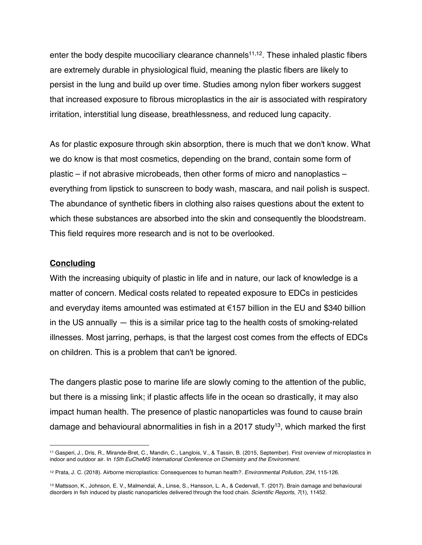enter the body despite mucociliary clearance channels<sup>11,12</sup>. These inhaled plastic fibers are extremely durable in physiological fluid, meaning the plastic fibers are likely to persist in the lung and build up over time. Studies among nylon fiber workers suggest that increased exposure to fibrous microplastics in the air is associated with respiratory irritation, interstitial lung disease, breathlessness, and reduced lung capacity.

As for plastic exposure through skin absorption, there is much that we don't know. What we do know is that most cosmetics, depending on the brand, contain some form of plastic – if not abrasive microbeads, then other forms of micro and nanoplastics – everything from lipstick to sunscreen to body wash, mascara, and nail polish is suspect. The abundance of synthetic fibers in clothing also raises questions about the extent to which these substances are absorbed into the skin and consequently the bloodstream. This field requires more research and is not to be overlooked.

#### **Concluding**

 $\overline{a}$ 

With the increasing ubiquity of plastic in life and in nature, our lack of knowledge is a matter of concern. Medical costs related to repeated exposure to EDCs in pesticides and everyday items amounted was estimated at €157 billion in the EU and \$340 billion in the US annually — this is a similar price tag to the health costs of smoking-related illnesses. Most jarring, perhaps, is that the largest cost comes from the effects of EDCs on children. This is a problem that can't be ignored.

The dangers plastic pose to marine life are slowly coming to the attention of the public, but there is a missing link; if plastic affects life in the ocean so drastically, it may also impact human health. The presence of plastic nanoparticles was found to cause brain damage and behavioural abnormalities in fish in a 2017 study<sup>13</sup>, which marked the first

<sup>11</sup> Gasperi, J., Dris, R., Mirande-Bret, C., Mandin, C., Langlois, V., & Tassin, B. (2015, September). First overview of microplastics in indoor and outdoor air. In *15th EuCheMS International Conference on Chemistry and the Environment*.

<sup>12</sup> Prata, J. C. (2018). Airborne microplastics: Consequences to human health?. *Environmental Pollution*, *234*, 115-126.

<sup>13</sup> Mattsson, K., Johnson, E. V., Malmendal, A., Linse, S., Hansson, L. A., & Cedervall, T. (2017). Brain damage and behavioural disorders in fish induced by plastic nanoparticles delivered through the food chain. *Scientific Reports*, *7*(1), 11452.